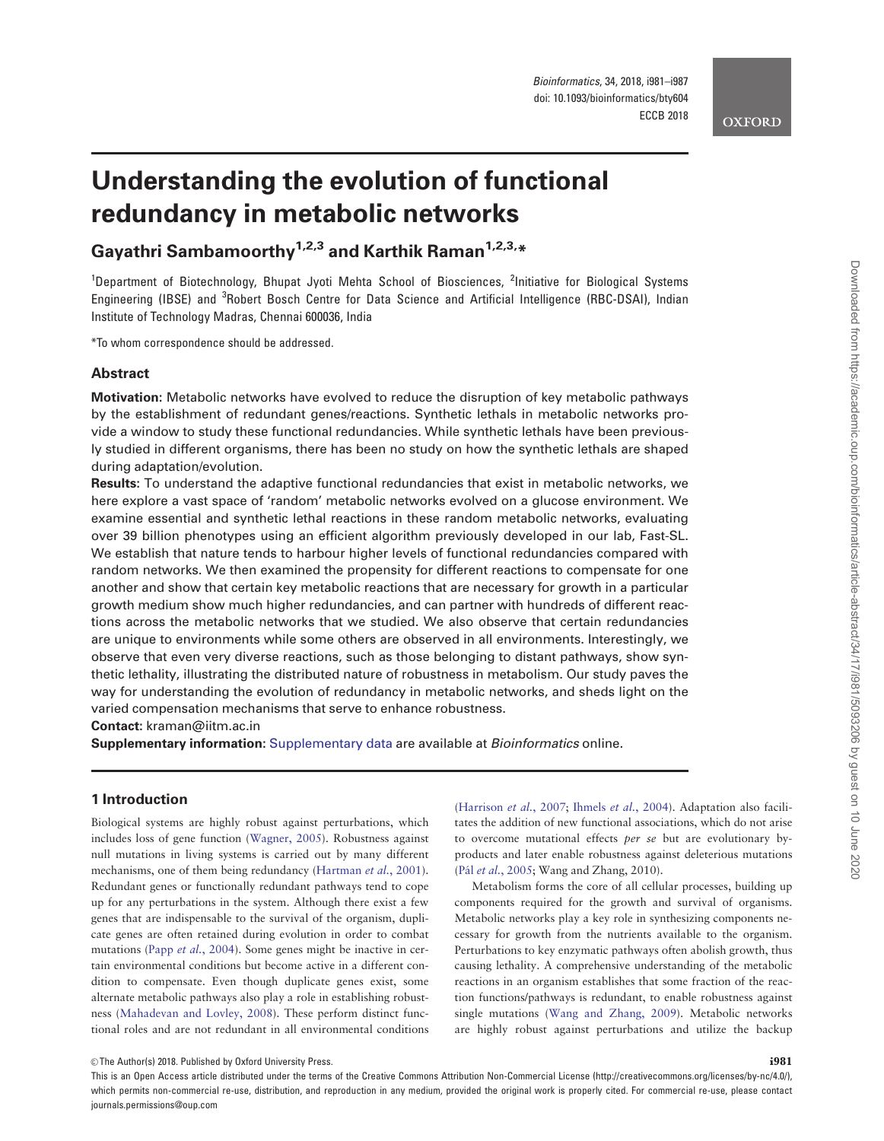### **OXFORD**

# Understanding the evolution of functional redundancy in metabolic networks

Gayathri Sambamoorthy<sup>1,2,3</sup> and Karthik Raman<sup>1,2,3,\*</sup>

<sup>1</sup>Department of Biotechnology, Bhupat Jyoti Mehta School of Biosciences, <sup>2</sup>Initiative for Biological Systems Engineering (IBSE) and <sup>3</sup>Robert Bosch Centre for Data Science and Artificial Intelligence (RBC-DSAI), Indian Institute of Technology Madras, Chennai 600036, India

\*To whom correspondence should be addressed.

# **Abstract**

Motivation: Metabolic networks have evolved to reduce the disruption of key metabolic pathways by the establishment of redundant genes/reactions. Synthetic lethals in metabolic networks provide a window to study these functional redundancies. While synthetic lethals have been previously studied in different organisms, there has been no study on how the synthetic lethals are shaped during adaptation/evolution.

Results: To understand the adaptive functional redundancies that exist in metabolic networks, we here explore a vast space of 'random' metabolic networks evolved on a glucose environment. We examine essential and synthetic lethal reactions in these random metabolic networks, evaluating over 39 billion phenotypes using an efficient algorithm previously developed in our lab, Fast-SL. We establish that nature tends to harbour higher levels of functional redundancies compared with random networks. We then examined the propensity for different reactions to compensate for one another and show that certain key metabolic reactions that are necessary for growth in a particular growth medium show much higher redundancies, and can partner with hundreds of different reactions across the metabolic networks that we studied. We also observe that certain redundancies are unique to environments while some others are observed in all environments. Interestingly, we observe that even very diverse reactions, such as those belonging to distant pathways, show synthetic lethality, illustrating the distributed nature of robustness in metabolism. Our study paves the way for understanding the evolution of redundancy in metabolic networks, and sheds light on the varied compensation mechanisms that serve to enhance robustness.

Contact: kraman@iitm.ac.in

Supplementary information: [Supplementary data](https://academic.oup.com/bioinformatics/article-lookup/doi/10.1093/bioinformatics/bty604#supplementary-data) are available at *Bioinformatics* online.

# 1 Introduction

Biological systems are highly robust against perturbations, which includes loss of gene function [\(Wagner, 2005\)](#page-6-0). Robustness against null mutations in living systems is carried out by many different mechanisms, one of them being redundancy [\(Hartman](#page-6-0) et al., 2001). Redundant genes or functionally redundant pathways tend to cope up for any perturbations in the system. Although there exist a few genes that are indispensable to the survival of the organism, duplicate genes are often retained during evolution in order to combat mutations (Papp et al.[, 2004\)](#page-6-0). Some genes might be inactive in certain environmental conditions but become active in a different condition to compensate. Even though duplicate genes exist, some alternate metabolic pathways also play a role in establishing robustness [\(Mahadevan and Lovley, 2008\)](#page-6-0). These perform distinct functional roles and are not redundant in all environmental conditions

([Harrison](#page-6-0) et al., 2007; [Ihmels](#page-6-0) et al., 2004). Adaptation also facilitates the addition of new functional associations, which do not arise to overcome mutational effects per se but are evolutionary byproducts and later enable robustness against deleterious mutations (Pál et al.[, 2005](#page-6-0); Wang and Zhang, 2010).

Metabolism forms the core of all cellular processes, building up components required for the growth and survival of organisms. Metabolic networks play a key role in synthesizing components necessary for growth from the nutrients available to the organism. Perturbations to key enzymatic pathways often abolish growth, thus causing lethality. A comprehensive understanding of the metabolic reactions in an organism establishes that some fraction of the reaction functions/pathways is redundant, to enable robustness against single mutations [\(Wang and Zhang, 2009\)](#page-6-0). Metabolic networks are highly robust against perturbations and utilize the backup

 $\heartsuit$  The Author(s) 2018. Published by Oxford University Press. in the state of the Section of the Section of the Section of the Section of the Section of the Section of the Section of the Section of the Section of the S

This is an Open Access article distributed under the terms of the Creative Commons Attribution Non-Commercial License (http://creativecommons.org/licenses/by-nc/4.0/), which permits non-commercial re-use, distribution, and reproduction in any medium, provided the original work is properly cited. For commercial re-use, please contact journals.permissions@oup.com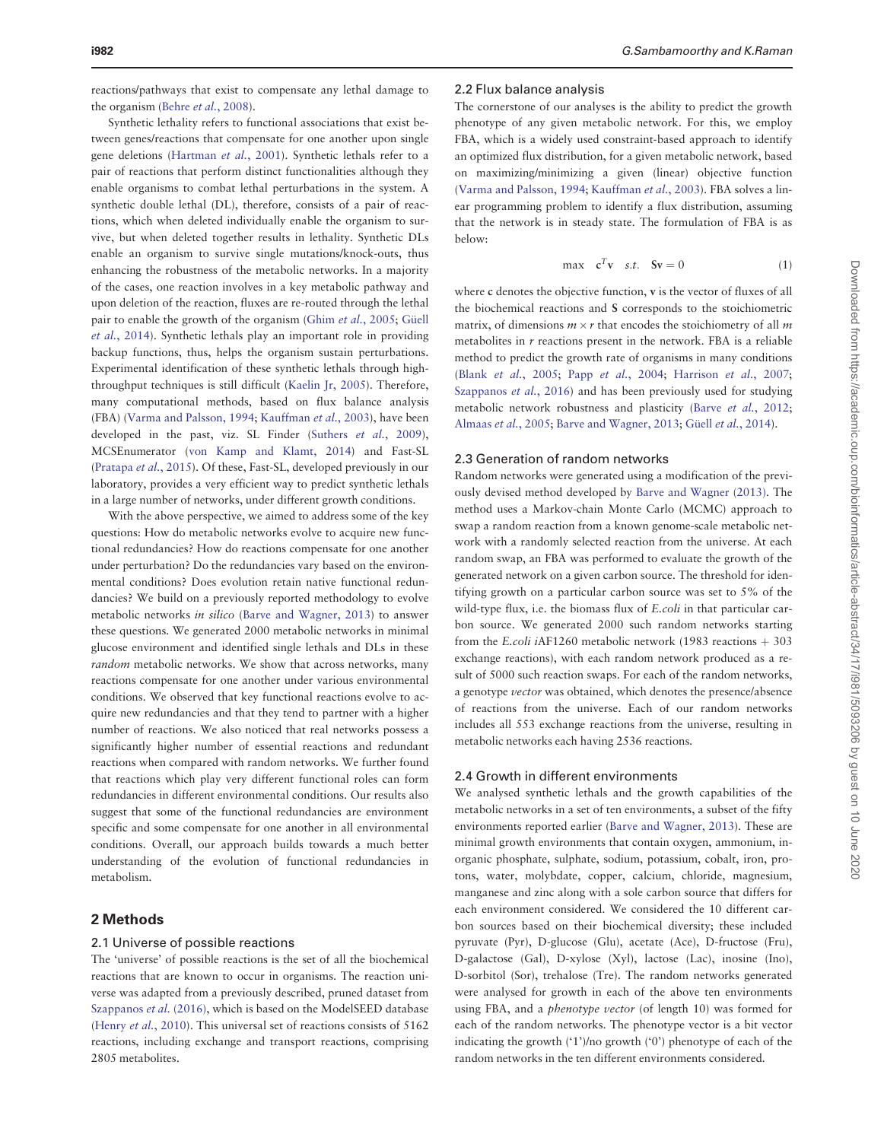reactions/pathways that exist to compensate any lethal damage to the organism (Behre et al.[, 2008](#page-6-0)).

Synthetic lethality refers to functional associations that exist between genes/reactions that compensate for one another upon single gene deletions ([Hartman](#page-6-0) et al., 2001). Synthetic lethals refer to a pair of reactions that perform distinct functionalities although they enable organisms to combat lethal perturbations in the system. A synthetic double lethal (DL), therefore, consists of a pair of reactions, which when deleted individually enable the organism to survive, but when deleted together results in lethality. Synthetic DLs enable an organism to survive single mutations/knock-outs, thus enhancing the robustness of the metabolic networks. In a majority of the cases, one reaction involves in a key metabolic pathway and upon deletion of the reaction, fluxes are re-routed through the lethal pair to enable the growth of the organism (Ghim et al.[, 2005;](#page-6-0) Güell et al.[, 2014\)](#page-6-0). Synthetic lethals play an important role in providing backup functions, thus, helps the organism sustain perturbations. Experimental identification of these synthetic lethals through highthroughput techniques is still difficult ([Kaelin Jr, 2005\)](#page-6-0). Therefore, many computational methods, based on flux balance analysis (FBA) [\(Varma and Palsson, 1994](#page-6-0); [Kauffman](#page-6-0) et al., 2003), have been developed in the past, viz. SL Finder (Suthers et al.[, 2009](#page-6-0)), MCSEnumerator ([von Kamp and Klamt, 2014](#page-6-0)) and Fast-SL ([Pratapa](#page-6-0) et al., 2015). Of these, Fast-SL, developed previously in our laboratory, provides a very efficient way to predict synthetic lethals in a large number of networks, under different growth conditions.

With the above perspective, we aimed to address some of the key questions: How do metabolic networks evolve to acquire new functional redundancies? How do reactions compensate for one another under perturbation? Do the redundancies vary based on the environmental conditions? Does evolution retain native functional redundancies? We build on a previously reported methodology to evolve metabolic networks in silico [\(Barve and Wagner, 2013\)](#page-6-0) to answer these questions. We generated 2000 metabolic networks in minimal glucose environment and identified single lethals and DLs in these random metabolic networks. We show that across networks, many reactions compensate for one another under various environmental conditions. We observed that key functional reactions evolve to acquire new redundancies and that they tend to partner with a higher number of reactions. We also noticed that real networks possess a significantly higher number of essential reactions and redundant reactions when compared with random networks. We further found that reactions which play very different functional roles can form redundancies in different environmental conditions. Our results also suggest that some of the functional redundancies are environment specific and some compensate for one another in all environmental conditions. Overall, our approach builds towards a much better understanding of the evolution of functional redundancies in metabolism.

# 2 Methods

## 2.1 Universe of possible reactions

The 'universe' of possible reactions is the set of all the biochemical reactions that are known to occur in organisms. The reaction universe was adapted from a previously described, pruned dataset from [Szappanos](#page-6-0) et al. (2016), which is based on the ModelSEED database (Henry et al.[, 2010](#page-6-0)). This universal set of reactions consists of 5162 reactions, including exchange and transport reactions, comprising 2805 metabolites.

#### 2.2 Flux balance analysis

The cornerstone of our analyses is the ability to predict the growth phenotype of any given metabolic network. For this, we employ FBA, which is a widely used constraint-based approach to identify an optimized flux distribution, for a given metabolic network, based on maximizing/minimizing a given (linear) objective function ([Varma and Palsson, 1994;](#page-6-0) [Kauffman](#page-6-0) et al., 2003). FBA solves a linear programming problem to identify a flux distribution, assuming that the network is in steady state. The formulation of FBA is as below:

$$
\max \quad \mathbf{c}^T \mathbf{v} \quad s.t. \quad \mathbf{S} \mathbf{v} = 0 \tag{1}
$$

where c denotes the objective function, v is the vector of fluxes of all the biochemical reactions and S corresponds to the stoichiometric matrix, of dimensions  $m \times r$  that encodes the stoichiometry of all m metabolites in  $r$  reactions present in the network. FBA is a reliable method to predict the growth rate of organisms in many conditions (Blank et al.[, 2005;](#page-6-0) Papp et al.[, 2004;](#page-6-0) [Harrison](#page-6-0) et al., 2007; [Szappanos](#page-6-0) et al., 2016) and has been previously used for studying metabolic network robustness and plasticity (Barve et al.[, 2012;](#page-6-0) [Almaas](#page-6-0) et al., 2005; [Barve and Wagner, 2013;](#page-6-0) Güell et al.[, 2014](#page-6-0)).

#### 2.3 Generation of random networks

Random networks were generated using a modification of the previously devised method developed by [Barve and Wagner \(2013\).](#page-6-0) The method uses a Markov-chain Monte Carlo (MCMC) approach to swap a random reaction from a known genome-scale metabolic network with a randomly selected reaction from the universe. At each random swap, an FBA was performed to evaluate the growth of the generated network on a given carbon source. The threshold for identifying growth on a particular carbon source was set to 5% of the wild-type flux, i.e. the biomass flux of E.coli in that particular carbon source. We generated 2000 such random networks starting from the E.coli iAF1260 metabolic network (1983 reactions  $+303$ exchange reactions), with each random network produced as a result of 5000 such reaction swaps. For each of the random networks, a genotype vector was obtained, which denotes the presence/absence of reactions from the universe. Each of our random networks includes all 553 exchange reactions from the universe, resulting in metabolic networks each having 2536 reactions.

#### 2.4 Growth in different environments

We analysed synthetic lethals and the growth capabilities of the metabolic networks in a set of ten environments, a subset of the fifty environments reported earlier [\(Barve and Wagner, 2013\)](#page-6-0). These are minimal growth environments that contain oxygen, ammonium, inorganic phosphate, sulphate, sodium, potassium, cobalt, iron, protons, water, molybdate, copper, calcium, chloride, magnesium, manganese and zinc along with a sole carbon source that differs for each environment considered. We considered the 10 different carbon sources based on their biochemical diversity; these included pyruvate (Pyr), D-glucose (Glu), acetate (Ace), D-fructose (Fru), D-galactose (Gal), D-xylose (Xyl), lactose (Lac), inosine (Ino), D-sorbitol (Sor), trehalose (Tre). The random networks generated were analysed for growth in each of the above ten environments using FBA, and a phenotype vector (of length 10) was formed for each of the random networks. The phenotype vector is a bit vector indicating the growth ('1')/no growth ('0') phenotype of each of the random networks in the ten different environments considered.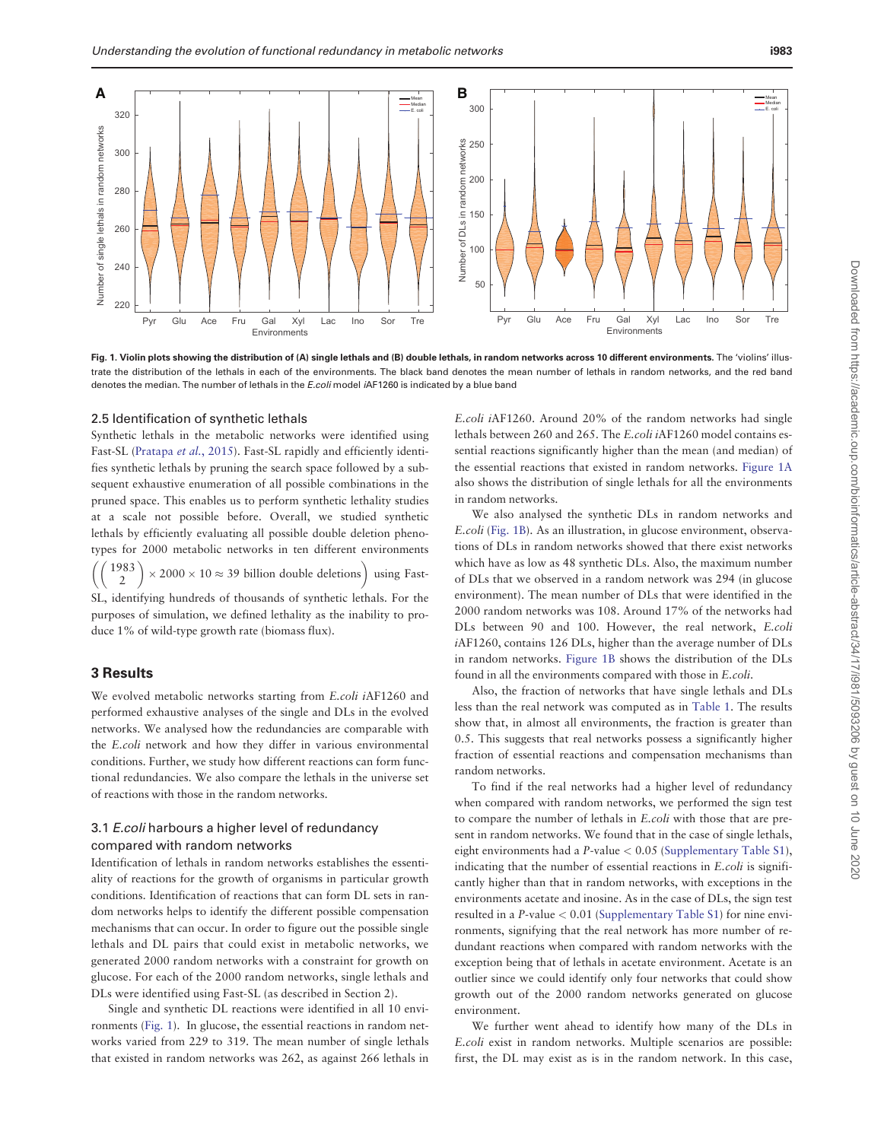

Fig. 1. Violin plots showing the distribution of (A) single lethals and (B) double lethals, in random networks across 10 different environments. The 'violins' illustrate the distribution of the lethals in each of the environments. The black band denotes the mean number of lethals in random networks, and the red band denotes the median. The number of lethals in the E.coli model iAF1260 is indicated by a blue band

#### 2.5 Identification of synthetic lethals

Synthetic lethals in the metabolic networks were identified using Fast-SL ([Pratapa](#page-6-0) et al., 2015). Fast-SL rapidly and efficiently identifies synthetic lethals by pruning the search space followed by a subsequent exhaustive enumeration of all possible combinations in the pruned space. This enables us to perform synthetic lethality studies at a scale not possible before. Overall, we studied synthetic lethals by efficiently evaluating all possible double deletion phenotypes for 2000 metabolic networks in ten different environments -1983  $\mathfrak{Z}$ - $\sqrt{2}$  $\times$  2000  $\times$  10  $\approx$  39 billion double deletions) using Fast-SL, identifying hundreds of thousands of synthetic lethals. For the purposes of simulation, we defined lethality as the inability to produce 1% of wild-type growth rate (biomass flux).

## 3 Results

We evolved metabolic networks starting from E.coli iAF1260 and performed exhaustive analyses of the single and DLs in the evolved networks. We analysed how the redundancies are comparable with the E.coli network and how they differ in various environmental conditions. Further, we study how different reactions can form functional redundancies. We also compare the lethals in the universe set of reactions with those in the random networks.

# 3.1 E.coli harbours a higher level of redundancy compared with random networks

Identification of lethals in random networks establishes the essentiality of reactions for the growth of organisms in particular growth conditions. Identification of reactions that can form DL sets in random networks helps to identify the different possible compensation mechanisms that can occur. In order to figure out the possible single lethals and DL pairs that could exist in metabolic networks, we generated 2000 random networks with a constraint for growth on glucose. For each of the 2000 random networks, single lethals and DLs were identified using Fast-SL (as described in Section 2).

Single and synthetic DL reactions were identified in all 10 environments (Fig. 1). In glucose, the essential reactions in random networks varied from 229 to 319. The mean number of single lethals that existed in random networks was 262, as against 266 lethals in

E.coli iAF1260. Around 20% of the random networks had single lethals between 260 and 265. The E.coli iAF1260 model contains essential reactions significantly higher than the mean (and median) of the essential reactions that existed in random networks. Figure 1A also shows the distribution of single lethals for all the environments in random networks.

We also analysed the synthetic DLs in random networks and E.coli (Fig. 1B). As an illustration, in glucose environment, observations of DLs in random networks showed that there exist networks which have as low as 48 synthetic DLs. Also, the maximum number of DLs that we observed in a random network was 294 (in glucose environment). The mean number of DLs that were identified in the 2000 random networks was 108. Around 17% of the networks had DLs between 90 and 100. However, the real network, E.coli iAF1260, contains 126 DLs, higher than the average number of DLs in random networks. Figure 1B shows the distribution of the DLs found in all the environments compared with those in E.coli.

Also, the fraction of networks that have single lethals and DLs less than the real network was computed as in [Table 1](#page-3-0). The results show that, in almost all environments, the fraction is greater than 0.5. This suggests that real networks possess a significantly higher fraction of essential reactions and compensation mechanisms than random networks.

To find if the real networks had a higher level of redundancy when compared with random networks, we performed the sign test to compare the number of lethals in E.coli with those that are present in random networks. We found that in the case of single lethals, eight environments had a P-value < 0.05 ([Supplementary Table S1](https://academic.oup.com/bioinformatics/article-lookup/doi/10.1093/bioinformatics/bty604#supplementary-data)), indicating that the number of essential reactions in E.coli is significantly higher than that in random networks, with exceptions in the environments acetate and inosine. As in the case of DLs, the sign test resulted in a P-value < 0.01 [\(Supplementary Table S1\)](https://academic.oup.com/bioinformatics/article-lookup/doi/10.1093/bioinformatics/bty604#supplementary-data) for nine environments, signifying that the real network has more number of redundant reactions when compared with random networks with the exception being that of lethals in acetate environment. Acetate is an outlier since we could identify only four networks that could show growth out of the 2000 random networks generated on glucose environment.

We further went ahead to identify how many of the DLs in E.coli exist in random networks. Multiple scenarios are possible: first, the DL may exist as is in the random network. In this case,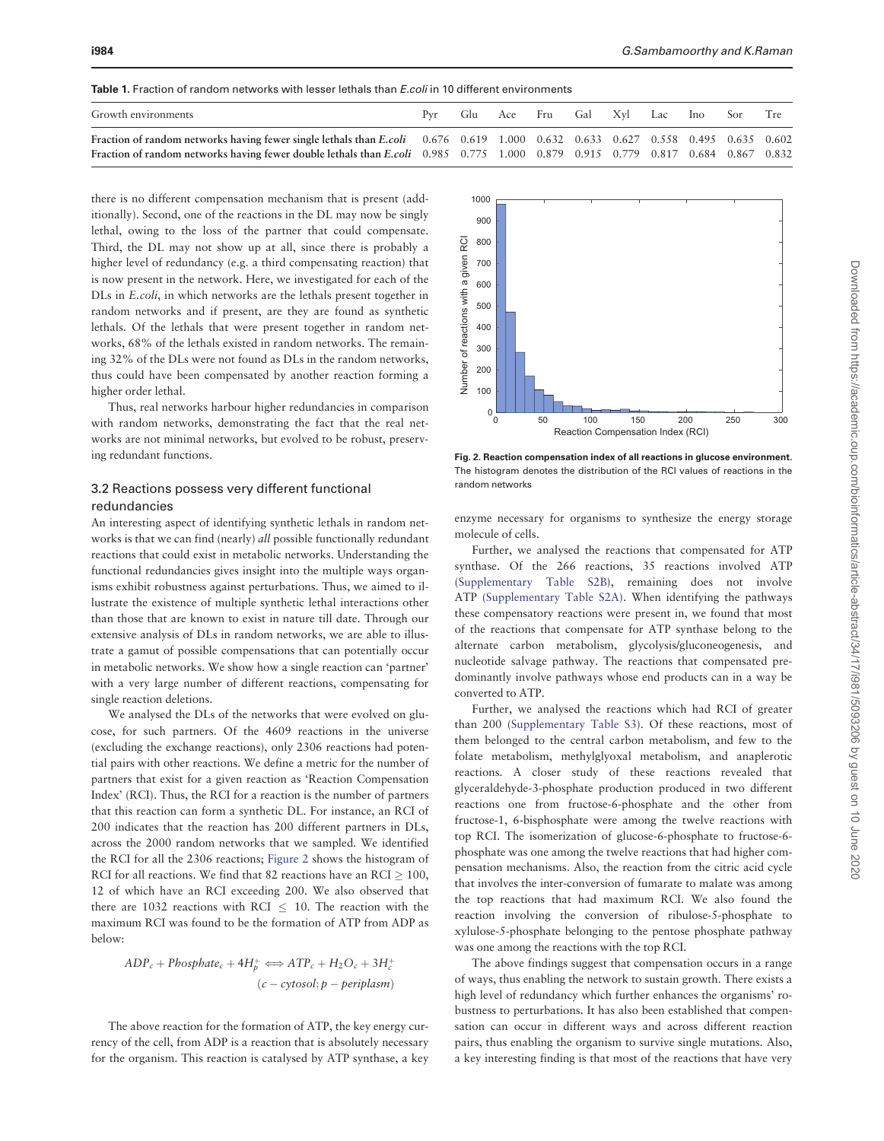<span id="page-3-0"></span>

| Growth environments                                                                                                             |  |  |  |  | Glu Ace Fru Gal Xyl Lac Ino Sor Tre |  |
|---------------------------------------------------------------------------------------------------------------------------------|--|--|--|--|-------------------------------------|--|
| Fraction of random networks having fewer single lethals than E.coli 0.676 0.619 1.000 0.632 0.633 0.627 0.558 0.495 0.635 0.602 |  |  |  |  |                                     |  |
| Fraction of random networks having fewer double lethals than E.coli 0.985 0.775 1.000 0.879 0.915 0.779 0.817 0.684 0.867 0.832 |  |  |  |  |                                     |  |

there is no different compensation mechanism that is present (additionally). Second, one of the reactions in the DL may now be singly lethal, owing to the loss of the partner that could compensate. Third, the DL may not show up at all, since there is probably a higher level of redundancy (e.g. a third compensating reaction) that is now present in the network. Here, we investigated for each of the DLs in E.coli, in which networks are the lethals present together in random networks and if present, are they are found as synthetic lethals. Of the lethals that were present together in random networks, 68% of the lethals existed in random networks. The remaining 32% of the DLs were not found as DLs in the random networks, thus could have been compensated by another reaction forming a higher order lethal.

Thus, real networks harbour higher redundancies in comparison with random networks, demonstrating the fact that the real networks are not minimal networks, but evolved to be robust, preserving redundant functions.

# 3.2 Reactions possess very different functional redundancies

An interesting aspect of identifying synthetic lethals in random networks is that we can find (nearly) all possible functionally redundant reactions that could exist in metabolic networks. Understanding the functional redundancies gives insight into the multiple ways organisms exhibit robustness against perturbations. Thus, we aimed to illustrate the existence of multiple synthetic lethal interactions other than those that are known to exist in nature till date. Through our extensive analysis of DLs in random networks, we are able to illustrate a gamut of possible compensations that can potentially occur in metabolic networks. We show how a single reaction can 'partner' with a very large number of different reactions, compensating for single reaction deletions.

We analysed the DLs of the networks that were evolved on glucose, for such partners. Of the 4609 reactions in the universe (excluding the exchange reactions), only 2306 reactions had potential pairs with other reactions. We define a metric for the number of partners that exist for a given reaction as 'Reaction Compensation Index' (RCI). Thus, the RCI for a reaction is the number of partners that this reaction can form a synthetic DL. For instance, an RCI of 200 indicates that the reaction has 200 different partners in DLs, across the 2000 random networks that we sampled. We identified the RCI for all the 2306 reactions; Figure 2 shows the histogram of RCI for all reactions. We find that 82 reactions have an RCI  $\geq$  100, 12 of which have an RCI exceeding 200. We also observed that there are 1032 reactions with RCI  $\leq$  10. The reaction with the maximum RCI was found to be the formation of ATP from ADP as below:

$$
ADP_c + Phosphate_c + 4H_p^+ \iff ATP_c + H_2O_c + 3H_c^+
$$
  
(c - cytosol; p - periplasm)

The above reaction for the formation of ATP, the key energy currency of the cell, from ADP is a reaction that is absolutely necessary for the organism. This reaction is catalysed by ATP synthase, a key



Fig. 2. Reaction compensation index of all reactions in glucose environment. The histogram denotes the distribution of the RCI values of reactions in the random networks

enzyme necessary for organisms to synthesize the energy storage molecule of cells.

Further, we analysed the reactions that compensated for ATP synthase. Of the 266 reactions, 35 reactions involved ATP ([Supplementary Table S2B\)](https://academic.oup.com/bioinformatics/article-lookup/doi/10.1093/bioinformatics/bty604#supplementary-data), remaining does not involve ATP ([Supplementary Table S2A](https://academic.oup.com/bioinformatics/article-lookup/doi/10.1093/bioinformatics/bty604#supplementary-data)). When identifying the pathways these compensatory reactions were present in, we found that most of the reactions that compensate for ATP synthase belong to the alternate carbon metabolism, glycolysis/gluconeogenesis, and nucleotide salvage pathway. The reactions that compensated predominantly involve pathways whose end products can in a way be converted to ATP.

Further, we analysed the reactions which had RCI of greater than 200 [\(Supplementary Table S3](https://academic.oup.com/bioinformatics/article-lookup/doi/10.1093/bioinformatics/bty604#supplementary-data)). Of these reactions, most of them belonged to the central carbon metabolism, and few to the folate metabolism, methylglyoxal metabolism, and anaplerotic reactions. A closer study of these reactions revealed that glyceraldehyde-3-phosphate production produced in two different reactions one from fructose-6-phosphate and the other from fructose-1, 6-bisphosphate were among the twelve reactions with top RCI. The isomerization of glucose-6-phosphate to fructose-6 phosphate was one among the twelve reactions that had higher compensation mechanisms. Also, the reaction from the citric acid cycle that involves the inter-conversion of fumarate to malate was among the top reactions that had maximum RCI. We also found the reaction involving the conversion of ribulose-5-phosphate to xylulose-5-phosphate belonging to the pentose phosphate pathway was one among the reactions with the top RCI.

The above findings suggest that compensation occurs in a range of ways, thus enabling the network to sustain growth. There exists a high level of redundancy which further enhances the organisms' robustness to perturbations. It has also been established that compensation can occur in different ways and across different reaction pairs, thus enabling the organism to survive single mutations. Also, a key interesting finding is that most of the reactions that have very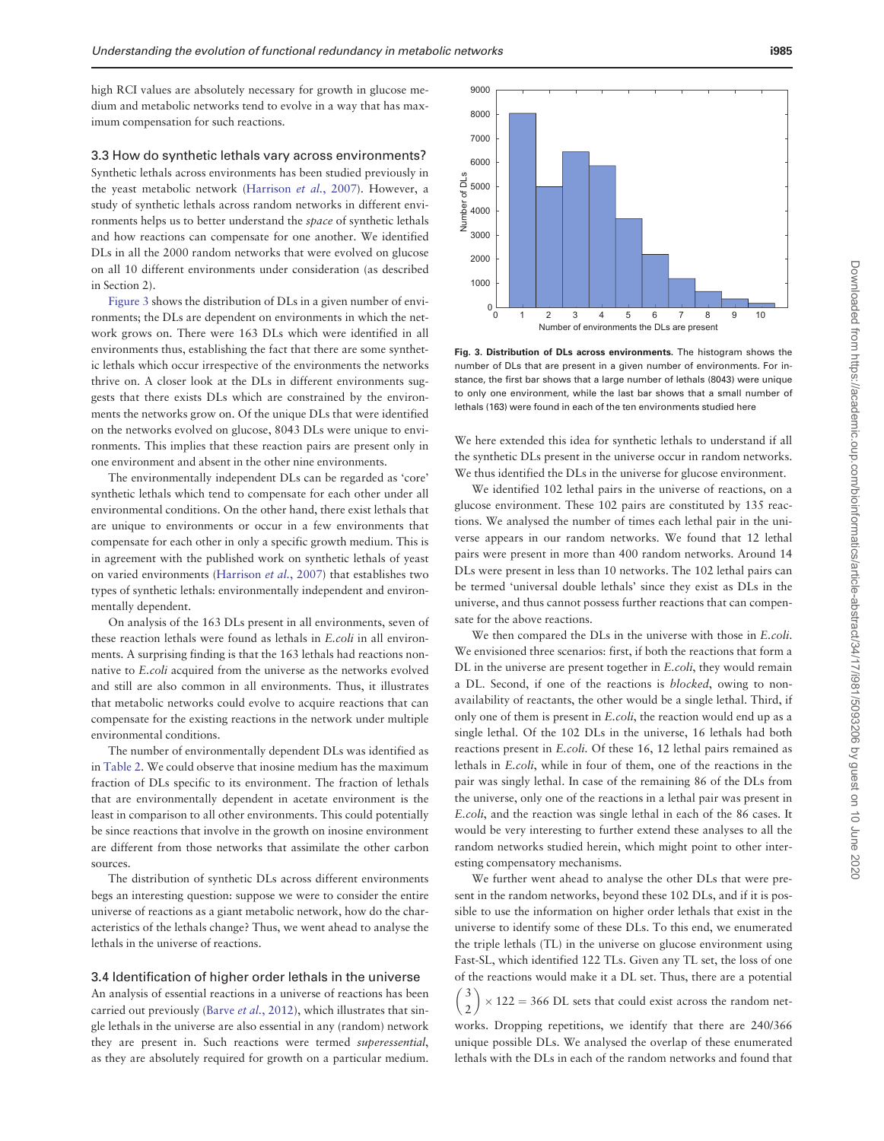high RCI values are absolutely necessary for growth in glucose medium and metabolic networks tend to evolve in a way that has maximum compensation for such reactions.

3.3 How do synthetic lethals vary across environments? Synthetic lethals across environments has been studied previously in the yeast metabolic network ([Harrison](#page-6-0) et al., 2007). However, a study of synthetic lethals across random networks in different environments helps us to better understand the space of synthetic lethals and how reactions can compensate for one another. We identified DLs in all the 2000 random networks that were evolved on glucose on all 10 different environments under consideration (as described in Section 2).

Figure 3 shows the distribution of DLs in a given number of environments; the DLs are dependent on environments in which the network grows on. There were 163 DLs which were identified in all environments thus, establishing the fact that there are some synthetic lethals which occur irrespective of the environments the networks thrive on. A closer look at the DLs in different environments suggests that there exists DLs which are constrained by the environments the networks grow on. Of the unique DLs that were identified on the networks evolved on glucose, 8043 DLs were unique to environments. This implies that these reaction pairs are present only in one environment and absent in the other nine environments.

The environmentally independent DLs can be regarded as 'core' synthetic lethals which tend to compensate for each other under all environmental conditions. On the other hand, there exist lethals that are unique to environments or occur in a few environments that compensate for each other in only a specific growth medium. This is in agreement with the published work on synthetic lethals of yeast on varied environments [\(Harrison](#page-6-0) et al., 2007) that establishes two types of synthetic lethals: environmentally independent and environmentally dependent.

On analysis of the 163 DLs present in all environments, seven of these reaction lethals were found as lethals in E.coli in all environments. A surprising finding is that the 163 lethals had reactions nonnative to E.coli acquired from the universe as the networks evolved and still are also common in all environments. Thus, it illustrates that metabolic networks could evolve to acquire reactions that can compensate for the existing reactions in the network under multiple environmental conditions.

The number of environmentally dependent DLs was identified as in [Table 2.](#page-5-0) We could observe that inosine medium has the maximum fraction of DLs specific to its environment. The fraction of lethals that are environmentally dependent in acetate environment is the least in comparison to all other environments. This could potentially be since reactions that involve in the growth on inosine environment are different from those networks that assimilate the other carbon sources.

The distribution of synthetic DLs across different environments begs an interesting question: suppose we were to consider the entire universe of reactions as a giant metabolic network, how do the characteristics of the lethals change? Thus, we went ahead to analyse the lethals in the universe of reactions.

# 3.4 Identification of higher order lethals in the universe

An analysis of essential reactions in a universe of reactions has been carried out previously (Barve et al.[, 2012\)](#page-6-0), which illustrates that single lethals in the universe are also essential in any (random) network they are present in. Such reactions were termed superessential, as they are absolutely required for growth on a particular medium.

to only one environment, while the last bar shows that a small number of lethals (163) were found in each of the ten environments studied here

 $^{0}$ <sup>0</sup>

Number of DLs

We here extended this idea for synthetic lethals to understand if all the synthetic DLs present in the universe occur in random networks. We thus identified the DLs in the universe for glucose environment.

We identified 102 lethal pairs in the universe of reactions, on a glucose environment. These 102 pairs are constituted by 135 reactions. We analysed the number of times each lethal pair in the universe appears in our random networks. We found that 12 lethal pairs were present in more than 400 random networks. Around 14 DLs were present in less than 10 networks. The 102 lethal pairs can be termed 'universal double lethals' since they exist as DLs in the universe, and thus cannot possess further reactions that can compensate for the above reactions.

We then compared the DLs in the universe with those in E.coli. We envisioned three scenarios: first, if both the reactions that form a DL in the universe are present together in E.coli, they would remain a DL. Second, if one of the reactions is blocked, owing to nonavailability of reactants, the other would be a single lethal. Third, if only one of them is present in E.coli, the reaction would end up as a single lethal. Of the 102 DLs in the universe, 16 lethals had both reactions present in E.coli. Of these 16, 12 lethal pairs remained as lethals in E.coli, while in four of them, one of the reactions in the pair was singly lethal. In case of the remaining 86 of the DLs from the universe, only one of the reactions in a lethal pair was present in E.coli, and the reaction was single lethal in each of the 86 cases. It would be very interesting to further extend these analyses to all the random networks studied herein, which might point to other interesting compensatory mechanisms.

We further went ahead to analyse the other DLs that were present in the random networks, beyond these 102 DLs, and if it is possible to use the information on higher order lethals that exist in the universe to identify some of these DLs. To this end, we enumerated the triple lethals (TL) in the universe on glucose environment using Fast-SL, which identified 122 TLs. Given any TL set, the loss of one of the reactions would make it a DL set. Thus, there are a potential 3 2  $(3)$  $\times$  122 = 366 DL sets that could exist across the random networks. Dropping repetitions, we identify that there are 240/366

unique possible DLs. We analysed the overlap of these enumerated lethals with the DLs in each of the random networks and found that

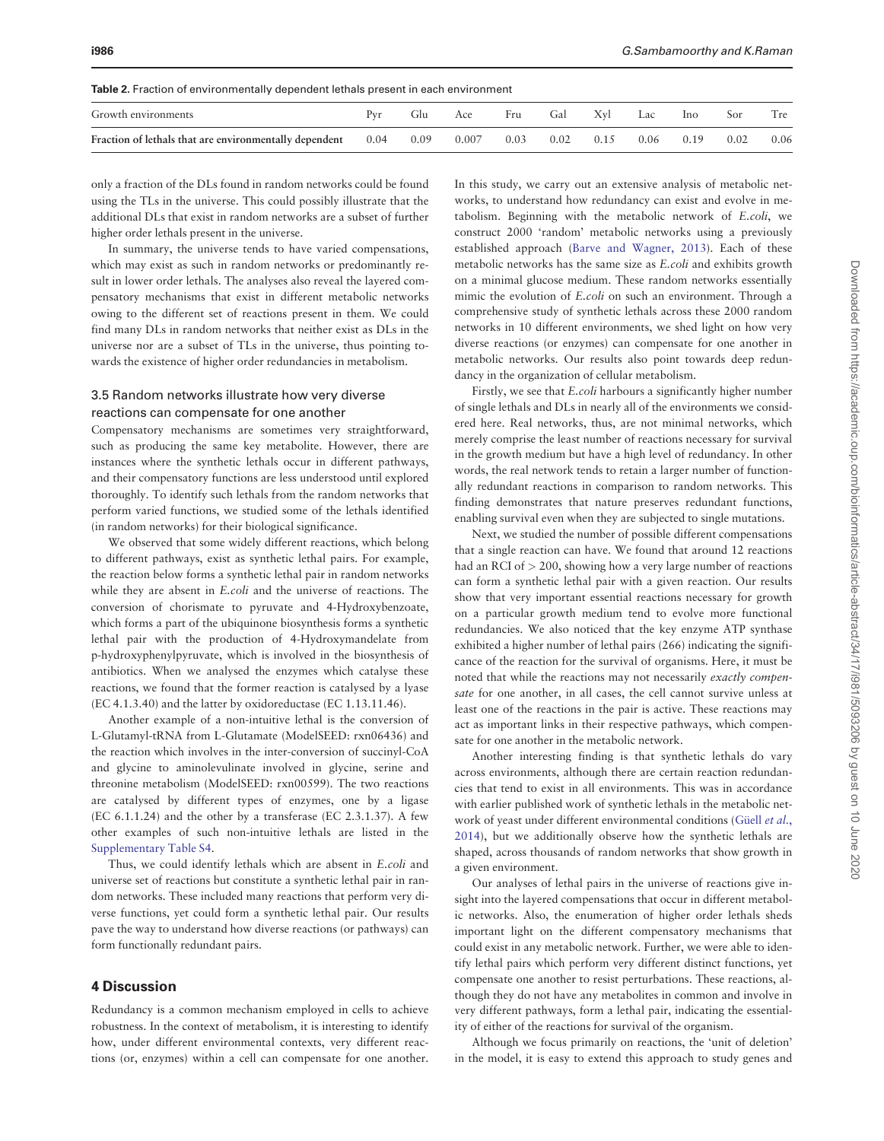<span id="page-5-0"></span>

| Growth environments                                    |      | ulu  | Ace   | Fru  | Gal  | Xvl | Lac  | <b>Ino</b> | Sor  | 1 re |
|--------------------------------------------------------|------|------|-------|------|------|-----|------|------------|------|------|
| Fraction of lethals that are environmentally dependent | 0.04 | 0.09 | 0.007 | 0.03 | 0.02 |     | 0.06 | 0.19       | 0.02 | 0.06 |

only a fraction of the DLs found in random networks could be found using the TLs in the universe. This could possibly illustrate that the additional DLs that exist in random networks are a subset of further higher order lethals present in the universe.

In summary, the universe tends to have varied compensations, which may exist as such in random networks or predominantly result in lower order lethals. The analyses also reveal the layered compensatory mechanisms that exist in different metabolic networks owing to the different set of reactions present in them. We could find many DLs in random networks that neither exist as DLs in the universe nor are a subset of TLs in the universe, thus pointing towards the existence of higher order redundancies in metabolism.

# 3.5 Random networks illustrate how very diverse reactions can compensate for one another

Compensatory mechanisms are sometimes very straightforward, such as producing the same key metabolite. However, there are instances where the synthetic lethals occur in different pathways, and their compensatory functions are less understood until explored thoroughly. To identify such lethals from the random networks that perform varied functions, we studied some of the lethals identified (in random networks) for their biological significance.

We observed that some widely different reactions, which belong to different pathways, exist as synthetic lethal pairs. For example, the reaction below forms a synthetic lethal pair in random networks while they are absent in E.coli and the universe of reactions. The conversion of chorismate to pyruvate and 4-Hydroxybenzoate, which forms a part of the ubiquinone biosynthesis forms a synthetic lethal pair with the production of 4-Hydroxymandelate from p-hydroxyphenylpyruvate, which is involved in the biosynthesis of antibiotics. When we analysed the enzymes which catalyse these reactions, we found that the former reaction is catalysed by a lyase (EC 4.1.3.40) and the latter by oxidoreductase (EC 1.13.11.46).

Another example of a non-intuitive lethal is the conversion of L-Glutamyl-tRNA from L-Glutamate (ModelSEED: rxn06436) and the reaction which involves in the inter-conversion of succinyl-CoA and glycine to aminolevulinate involved in glycine, serine and threonine metabolism (ModelSEED: rxn00599). The two reactions are catalysed by different types of enzymes, one by a ligase (EC 6.1.1.24) and the other by a transferase (EC 2.3.1.37). A few other examples of such non-intuitive lethals are listed in the [Supplementary Table S4](https://academic.oup.com/bioinformatics/article-lookup/doi/10.1093/bioinformatics/bty604#supplementary-data).

Thus, we could identify lethals which are absent in E.coli and universe set of reactions but constitute a synthetic lethal pair in random networks. These included many reactions that perform very diverse functions, yet could form a synthetic lethal pair. Our results pave the way to understand how diverse reactions (or pathways) can form functionally redundant pairs.

## 4 Discussion

Redundancy is a common mechanism employed in cells to achieve robustness. In the context of metabolism, it is interesting to identify how, under different environmental contexts, very different reactions (or, enzymes) within a cell can compensate for one another.

In this study, we carry out an extensive analysis of metabolic networks, to understand how redundancy can exist and evolve in metabolism. Beginning with the metabolic network of E.coli, we construct 2000 'random' metabolic networks using a previously established approach ([Barve and Wagner, 2013](#page-6-0)). Each of these metabolic networks has the same size as E.coli and exhibits growth on a minimal glucose medium. These random networks essentially mimic the evolution of E.coli on such an environment. Through a comprehensive study of synthetic lethals across these 2000 random networks in 10 different environments, we shed light on how very diverse reactions (or enzymes) can compensate for one another in metabolic networks. Our results also point towards deep redundancy in the organization of cellular metabolism.

Firstly, we see that E.coli harbours a significantly higher number of single lethals and DLs in nearly all of the environments we considered here. Real networks, thus, are not minimal networks, which merely comprise the least number of reactions necessary for survival in the growth medium but have a high level of redundancy. In other words, the real network tends to retain a larger number of functionally redundant reactions in comparison to random networks. This finding demonstrates that nature preserves redundant functions, enabling survival even when they are subjected to single mutations.

Next, we studied the number of possible different compensations that a single reaction can have. We found that around 12 reactions had an RCI of > 200, showing how a very large number of reactions can form a synthetic lethal pair with a given reaction. Our results show that very important essential reactions necessary for growth on a particular growth medium tend to evolve more functional redundancies. We also noticed that the key enzyme ATP synthase exhibited a higher number of lethal pairs (266) indicating the significance of the reaction for the survival of organisms. Here, it must be noted that while the reactions may not necessarily exactly compensate for one another, in all cases, the cell cannot survive unless at least one of the reactions in the pair is active. These reactions may act as important links in their respective pathways, which compensate for one another in the metabolic network.

Another interesting finding is that synthetic lethals do vary across environments, although there are certain reaction redundancies that tend to exist in all environments. This was in accordance with earlier published work of synthetic lethals in the metabolic network of yeast under different environmental conditions (Güell et al., [2014\)](#page-6-0), but we additionally observe how the synthetic lethals are shaped, across thousands of random networks that show growth in a given environment.

Our analyses of lethal pairs in the universe of reactions give insight into the layered compensations that occur in different metabolic networks. Also, the enumeration of higher order lethals sheds important light on the different compensatory mechanisms that could exist in any metabolic network. Further, we were able to identify lethal pairs which perform very different distinct functions, yet compensate one another to resist perturbations. These reactions, although they do not have any metabolites in common and involve in very different pathways, form a lethal pair, indicating the essentiality of either of the reactions for survival of the organism.

Although we focus primarily on reactions, the 'unit of deletion' in the model, it is easy to extend this approach to study genes and